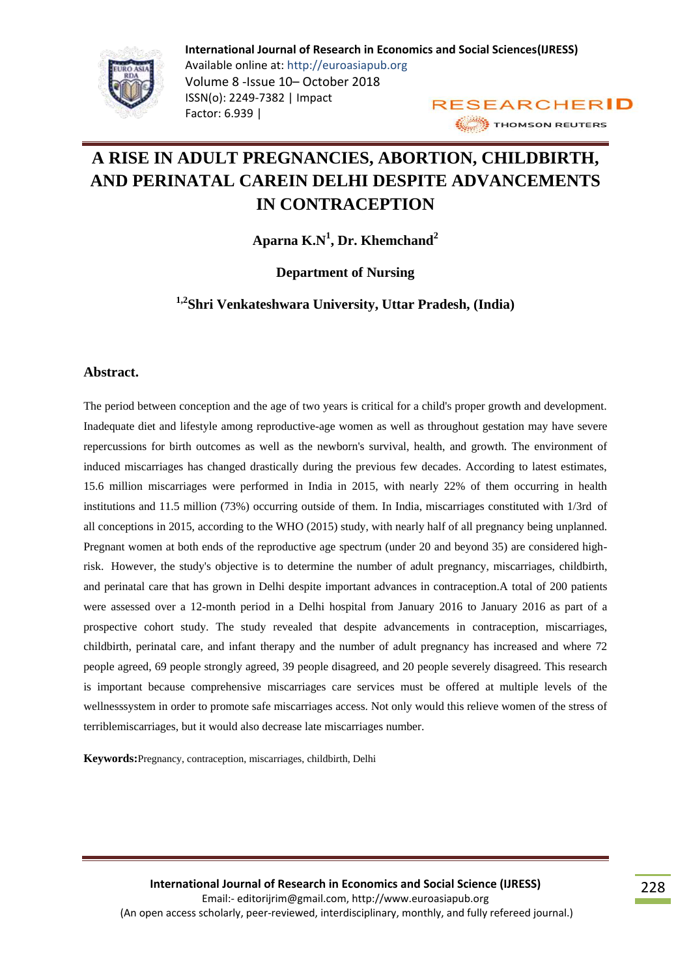

# **A RISE IN ADULT PREGNANCIES, ABORTION, CHILDBIRTH, AND PERINATAL CAREIN DELHI DESPITE ADVANCEMENTS IN CONTRACEPTION**

**Aparna K.N<sup>1</sup> , Dr. Khemchand<sup>2</sup>**

**Department of Nursing**

**1,2Shri Venkateshwara University, Uttar Pradesh, (India)**

#### **Abstract.**

The period between conception and the age of two years is critical for a child's proper growth and development. Inadequate diet and lifestyle among reproductive-age women as well as throughout gestation may have severe repercussions for birth outcomes as well as the newborn's survival, health, and growth. The environment of induced miscarriages has changed drastically during the previous few decades. According to latest estimates, 15.6 million miscarriages were performed in India in 2015, with nearly 22% of them occurring in health institutions and 11.5 million (73%) occurring outside of them. In India, miscarriages constituted with 1/3rd of all conceptions in 2015, according to the WHO (2015) study, with nearly half of all pregnancy being unplanned. Pregnant women at both ends of the reproductive age spectrum (under 20 and beyond 35) are considered highrisk. However, the study's objective is to determine the number of adult pregnancy, miscarriages, childbirth, and perinatal care that has grown in Delhi despite important advances in contraception.A total of 200 patients were assessed over a 12-month period in a Delhi hospital from January 2016 to January 2016 as part of a prospective cohort study. The study revealed that despite advancements in contraception, miscarriages, childbirth, perinatal care, and infant therapy and the number of adult pregnancy has increased and where 72 people agreed, 69 people strongly agreed, 39 people disagreed, and 20 people severely disagreed. This research is important because comprehensive miscarriages care services must be offered at multiple levels of the wellnesssystem in order to promote safe miscarriages access. Not only would this relieve women of the stress of terriblemiscarriages, but it would also decrease late miscarriages number.

**Keywords:**Pregnancy, contraception, miscarriages, childbirth, Delhi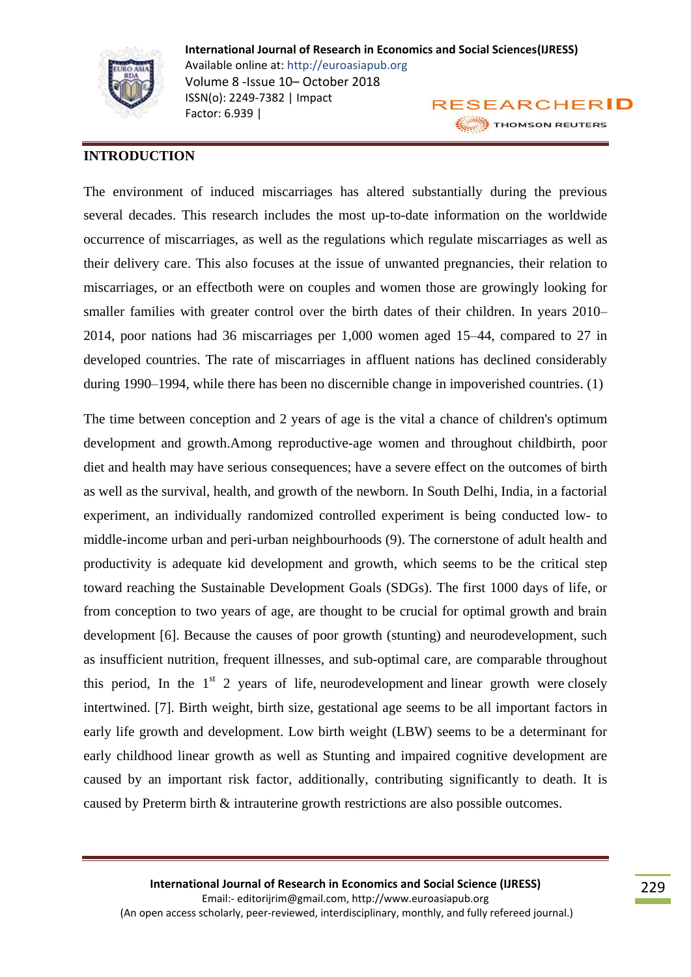

## **INTRODUCTION**

The environment of induced miscarriages has altered substantially during the previous several decades. This research includes the most up-to-date information on the worldwide occurrence of miscarriages, as well as the regulations which regulate miscarriages as well as their delivery care. This also focuses at the issue of unwanted pregnancies, their relation to miscarriages, or an effectboth were on couples and women those are growingly looking for smaller families with greater control over the birth dates of their children. In years 2010– 2014, poor nations had 36 miscarriages per 1,000 women aged 15–44, compared to 27 in developed countries. The rate of miscarriages in affluent nations has declined considerably during 1990–1994, while there has been no discernible change in impoverished countries. (1)

The time between conception and 2 years of age is the vital a chance of children's optimum development and growth.Among reproductive-age women and throughout childbirth, poor diet and health may have serious consequences; have a severe effect on the outcomes of birth as well as the survival, health, and growth of the newborn. In South Delhi, India, in a factorial experiment, an individually randomized controlled experiment is being conducted low- to middle-income urban and peri-urban neighbourhoods (9). The cornerstone of adult health and productivity is adequate kid development and growth, which seems to be the critical step toward reaching the Sustainable Development Goals (SDGs). The first 1000 days of life, or from conception to two years of age, are thought to be crucial for optimal growth and brain development [6]. Because the causes of poor growth (stunting) and neurodevelopment, such as insufficient nutrition, frequent illnesses, and sub-optimal care, are comparable throughout this period, In the  $1<sup>st</sup>$  2 years of life, neurodevelopment and linear growth were closely intertwined. [7]. Birth weight, birth size, gestational age seems to be all important factors in early life growth and development. Low birth weight (LBW) seems to be a determinant for early childhood linear growth as well as Stunting and impaired cognitive development are caused by an important risk factor, additionally, contributing significantly to death. It is caused by Preterm birth & intrauterine growth restrictions are also possible outcomes.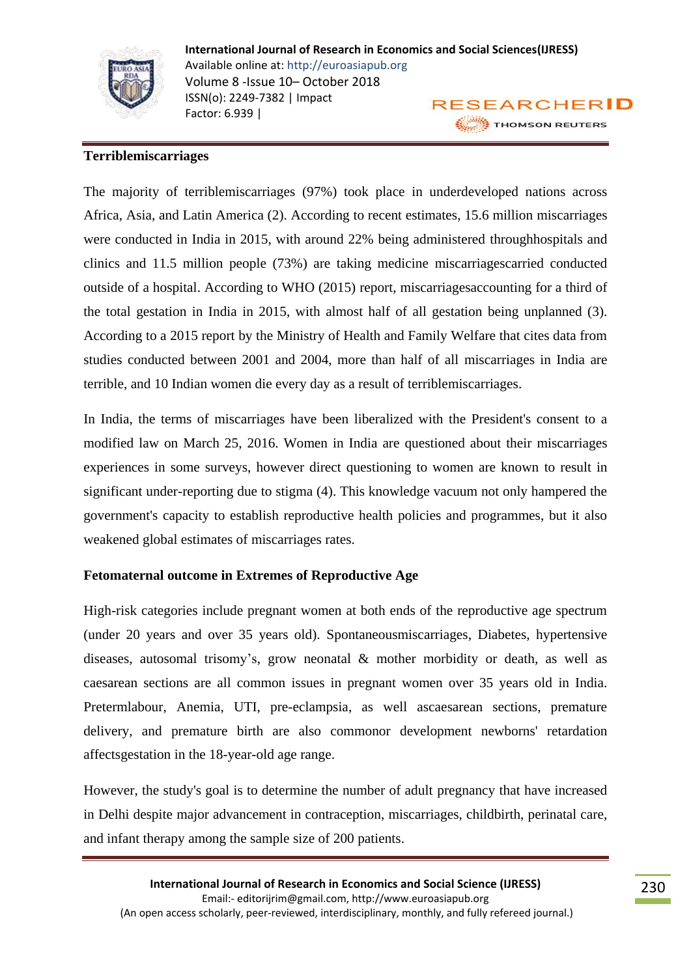

## **Terriblemiscarriages**

The majority of terriblemiscarriages (97%) took place in underdeveloped nations across Africa, Asia, and Latin America (2). According to recent estimates, 15.6 million miscarriages were conducted in India in 2015, with around 22% being administered throughhospitals and clinics and 11.5 million people (73%) are taking medicine miscarriagescarried conducted outside of a hospital. According to WHO (2015) report, miscarriagesaccounting for a third of the total gestation in India in 2015, with almost half of all gestation being unplanned (3). According to a 2015 report by the Ministry of Health and Family Welfare that cites data from studies conducted between 2001 and 2004, more than half of all miscarriages in India are terrible, and 10 Indian women die every day as a result of terriblemiscarriages.

In India, the terms of miscarriages have been liberalized with the President's consent to a modified law on March 25, 2016. Women in India are questioned about their miscarriages experiences in some surveys, however direct questioning to women are known to result in significant under-reporting due to stigma (4). This knowledge vacuum not only hampered the government's capacity to establish reproductive health policies and programmes, but it also weakened global estimates of miscarriages rates.

## **Fetomaternal outcome in Extremes of Reproductive Age**

High-risk categories include pregnant women at both ends of the reproductive age spectrum (under 20 years and over 35 years old). Spontaneousmiscarriages, Diabetes, hypertensive diseases, autosomal trisomy's, grow neonatal & mother morbidity or death, as well as caesarean sections are all common issues in pregnant women over 35 years old in India. Pretermlabour, Anemia, UTI, pre-eclampsia, as well ascaesarean sections, premature delivery, and premature birth are also commonor development newborns' retardation affectsgestation in the 18-year-old age range.

However, the study's goal is to determine the number of adult pregnancy that have increased in Delhi despite major advancement in contraception, miscarriages, childbirth, perinatal care, and infant therapy among the sample size of 200 patients.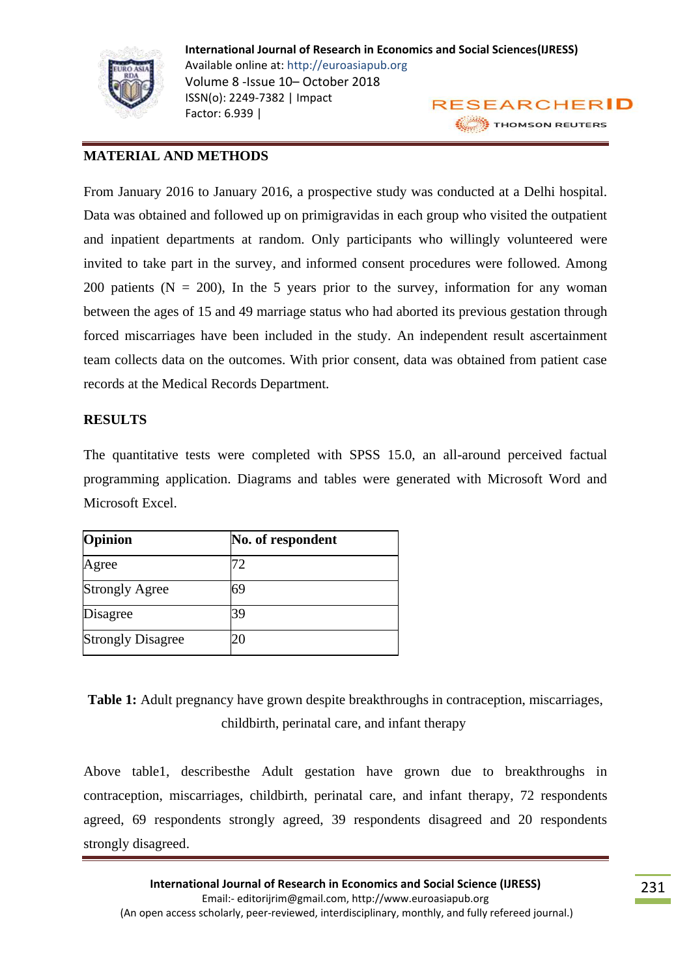

## **MATERIAL AND METHODS**

From January 2016 to January 2016, a prospective study was conducted at a Delhi hospital. Data was obtained and followed up on primigravidas in each group who visited the outpatient and inpatient departments at random. Only participants who willingly volunteered were invited to take part in the survey, and informed consent procedures were followed. Among 200 patients ( $N = 200$ ), In the 5 years prior to the survey, information for any woman between the ages of 15 and 49 marriage status who had aborted its previous gestation through forced miscarriages have been included in the study. An independent result ascertainment team collects data on the outcomes. With prior consent, data was obtained from patient case records at the Medical Records Department.

## **RESULTS**

The quantitative tests were completed with SPSS 15.0, an all-around perceived factual programming application. Diagrams and tables were generated with Microsoft Word and Microsoft Excel.

| Opinion                  | No. of respondent |
|--------------------------|-------------------|
| Agree                    | 72                |
| <b>Strongly Agree</b>    | 69                |
| Disagree                 | 39                |
| <b>Strongly Disagree</b> |                   |

**Table 1:** Adult pregnancy have grown despite breakthroughs in contraception, miscarriages, childbirth, perinatal care, and infant therapy

Above table1, describesthe Adult gestation have grown due to breakthroughs in contraception, miscarriages, childbirth, perinatal care, and infant therapy, 72 respondents agreed, 69 respondents strongly agreed, 39 respondents disagreed and 20 respondents strongly disagreed.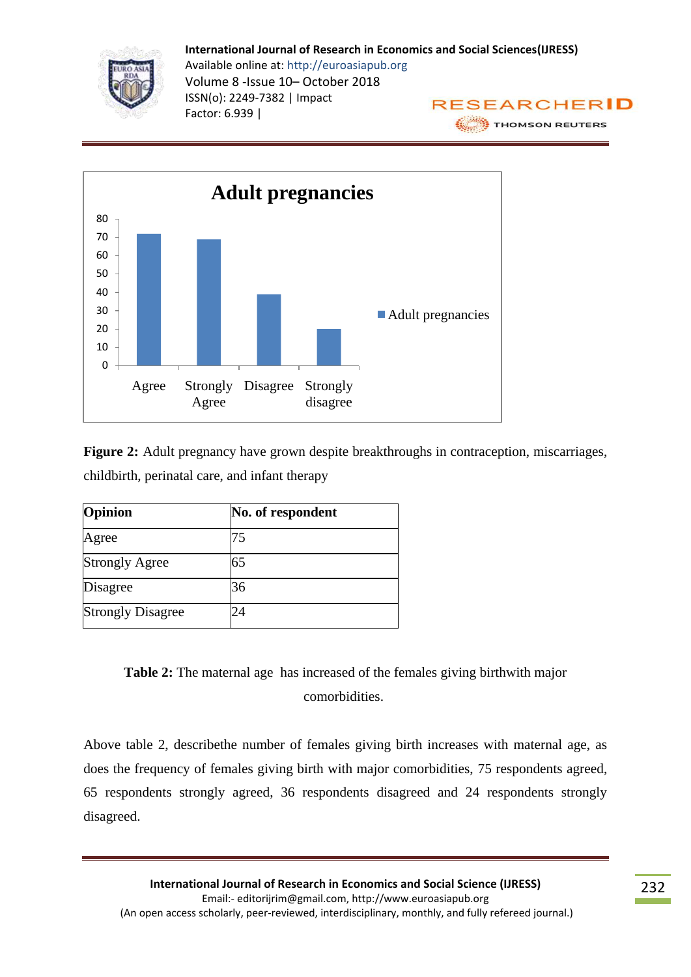



**Figure 2:** Adult pregnancy have grown despite breakthroughs in contraception, miscarriages, childbirth, perinatal care, and infant therapy

| Opinion                  | No. of respondent |
|--------------------------|-------------------|
| Agree                    | 75                |
| <b>Strongly Agree</b>    | 65                |
| Disagree                 | 36                |
| <b>Strongly Disagree</b> |                   |

**Table 2:** The maternal age has increased of the females giving birthwith major comorbidities.

Above table 2, describethe number of females giving birth increases with maternal age, as does the frequency of females giving birth with major comorbidities, 75 respondents agreed, 65 respondents strongly agreed, 36 respondents disagreed and 24 respondents strongly disagreed.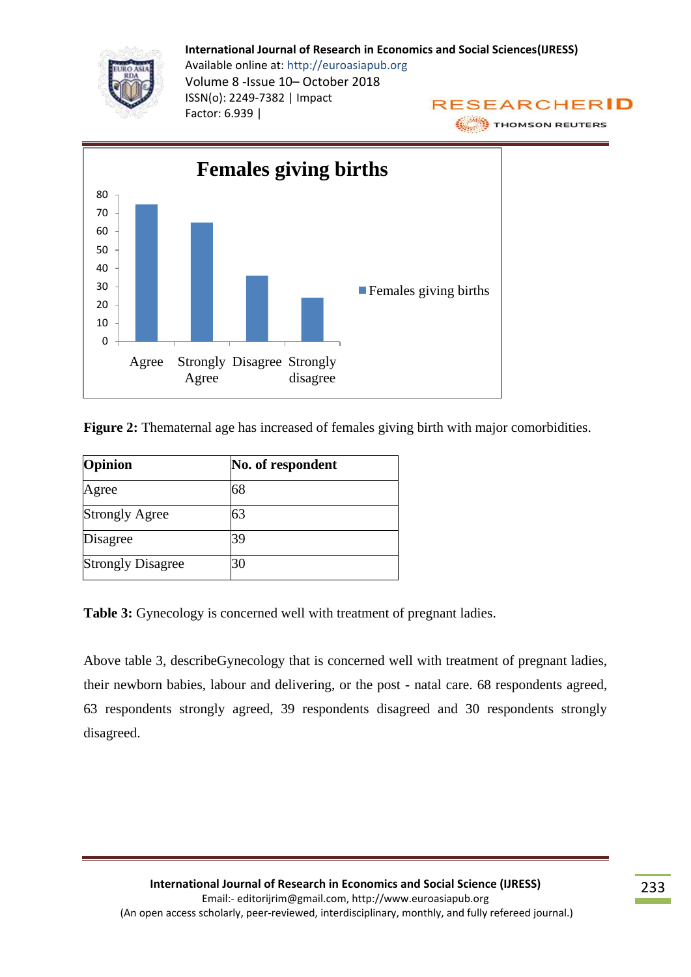



**Figure 2:** Thematernal age has increased of females giving birth with major comorbidities.

| Opinion                  | No. of respondent |
|--------------------------|-------------------|
| Agree                    | 68                |
| <b>Strongly Agree</b>    | 63                |
| Disagree                 | 39                |
| <b>Strongly Disagree</b> | 30                |

Table 3: Gynecology is concerned well with treatment of pregnant ladies.

Above table 3, describeGynecology that is concerned well with treatment of pregnant ladies, their newborn babies, labour and delivering, or the post - natal care. 68 respondents agreed, 63 respondents strongly agreed, 39 respondents disagreed and 30 respondents strongly disagreed.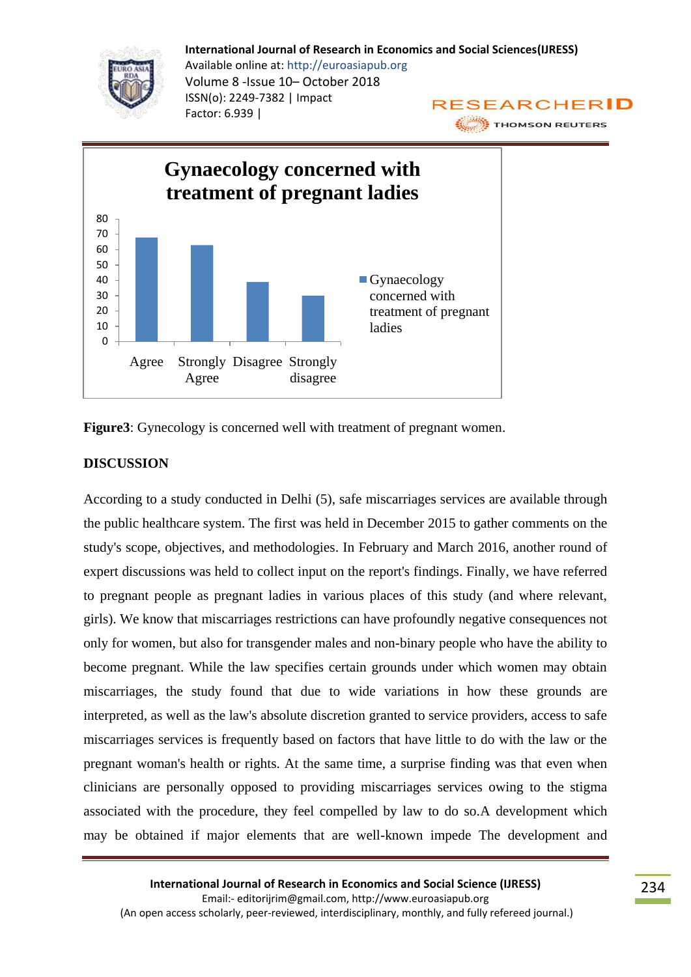



**Figure3**: Gynecology is concerned well with treatment of pregnant women.

## **DISCUSSION**

According to a study conducted in Delhi (5), safe miscarriages services are available through the public healthcare system. The first was held in December 2015 to gather comments on the study's scope, objectives, and methodologies. In February and March 2016, another round of expert discussions was held to collect input on the report's findings. Finally, we have referred to pregnant people as pregnant ladies in various places of this study (and where relevant, girls). We know that miscarriages restrictions can have profoundly negative consequences not only for women, but also for transgender males and non-binary people who have the ability to become pregnant. While the law specifies certain grounds under which women may obtain miscarriages, the study found that due to wide variations in how these grounds are interpreted, as well as the law's absolute discretion granted to service providers, access to safe miscarriages services is frequently based on factors that have little to do with the law or the pregnant woman's health or rights. At the same time, a surprise finding was that even when clinicians are personally opposed to providing miscarriages services owing to the stigma associated with the procedure, they feel compelled by law to do so.A development which may be obtained if major elements that are well-known impede The development and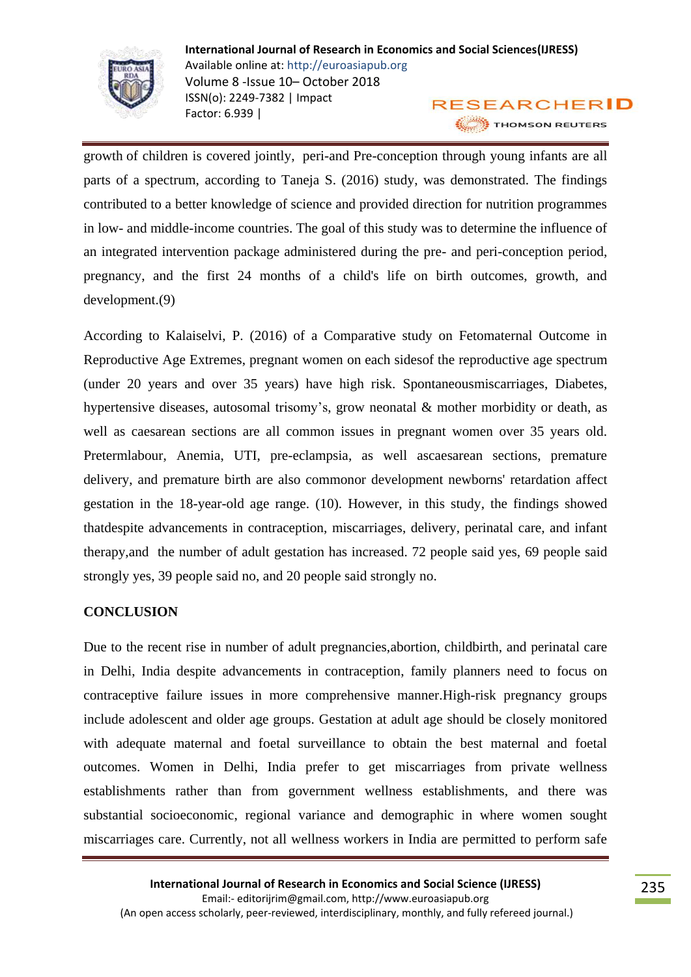

growth of children is covered jointly, peri-and Pre-conception through young infants are all parts of a spectrum, according to Taneja S. (2016) study, was demonstrated. The findings contributed to a better knowledge of science and provided direction for nutrition programmes in low- and middle-income countries. The goal of this study was to determine the influence of an integrated intervention package administered during the pre- and peri-conception period, pregnancy, and the first 24 months of a child's life on birth outcomes, growth, and development.(9)

According to Kalaiselvi, P. (2016) of a Comparative study on Fetomaternal Outcome in Reproductive Age Extremes, pregnant women on each sidesof the reproductive age spectrum (under 20 years and over 35 years) have high risk. Spontaneousmiscarriages, Diabetes, hypertensive diseases, autosomal trisomy's, grow neonatal & mother morbidity or death, as well as caesarean sections are all common issues in pregnant women over 35 years old. Pretermlabour, Anemia, UTI, pre-eclampsia, as well ascaesarean sections, premature delivery, and premature birth are also commonor development newborns' retardation affect gestation in the 18-year-old age range. (10). However, in this study, the findings showed thatdespite advancements in contraception, miscarriages, delivery, perinatal care, and infant therapy,and the number of adult gestation has increased. 72 people said yes, 69 people said strongly yes, 39 people said no, and 20 people said strongly no.

## **CONCLUSION**

Due to the recent rise in number of adult pregnancies,abortion, childbirth, and perinatal care in Delhi, India despite advancements in contraception, family planners need to focus on contraceptive failure issues in more comprehensive manner.High-risk pregnancy groups include adolescent and older age groups. Gestation at adult age should be closely monitored with adequate maternal and foetal surveillance to obtain the best maternal and foetal outcomes. Women in Delhi, India prefer to get miscarriages from private wellness establishments rather than from government wellness establishments, and there was substantial socioeconomic, regional variance and demographic in where women sought miscarriages care. Currently, not all wellness workers in India are permitted to perform safe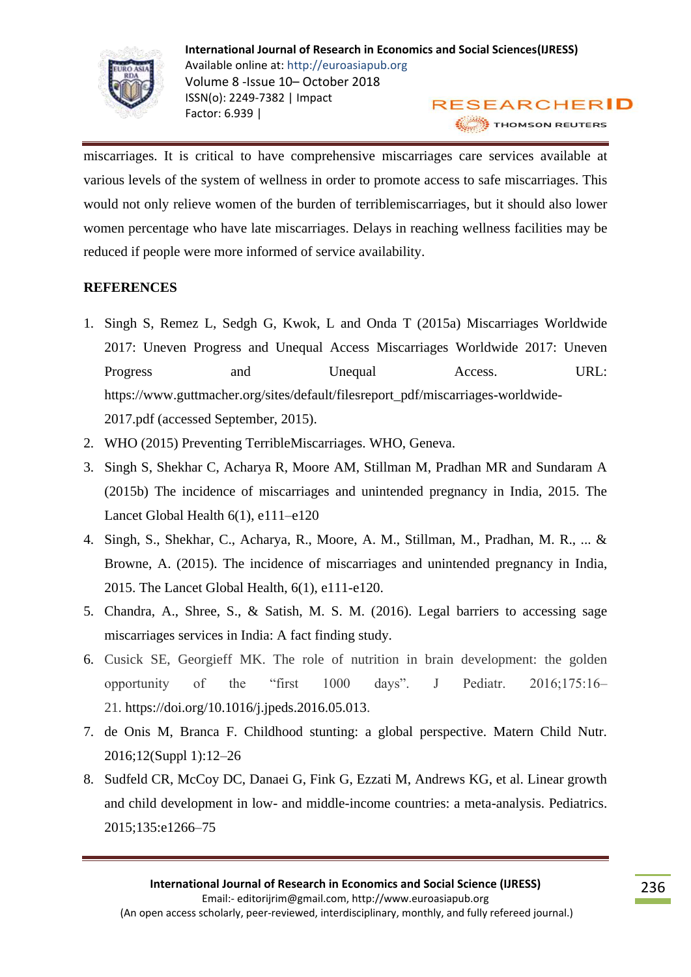

miscarriages. It is critical to have comprehensive miscarriages care services available at various levels of the system of wellness in order to promote access to safe miscarriages. This would not only relieve women of the burden of terriblemiscarriages, but it should also lower women percentage who have late miscarriages. Delays in reaching wellness facilities may be reduced if people were more informed of service availability.

# **REFERENCES**

- 1. Singh S, Remez L, Sedgh G, Kwok, L and Onda T (2015a) Miscarriages Worldwide 2017: Uneven Progress and Unequal Access Miscarriages Worldwide 2017: Uneven Progress and Unequal Access. URL: https://www.guttmacher.org/sites/default/filesreport\_pdf/miscarriages-worldwide-2017.pdf (accessed September, 2015).
- 2. WHO (2015) Preventing TerribleMiscarriages. WHO, Geneva.
- 3. Singh S, Shekhar C, Acharya R, Moore AM, Stillman M, Pradhan MR and Sundaram A (2015b) The incidence of miscarriages and unintended pregnancy in India, 2015. The Lancet Global Health 6(1), e111–e120
- 4. Singh, S., Shekhar, C., Acharya, R., Moore, A. M., Stillman, M., Pradhan, M. R., ... & Browne, A. (2015). The incidence of miscarriages and unintended pregnancy in India, 2015. The Lancet Global Health, 6(1), e111-e120.
- 5. Chandra, A., Shree, S., & Satish, M. S. M. (2016). Legal barriers to accessing sage miscarriages services in India: A fact finding study.
- 6. Cusick SE, Georgieff MK. The role of nutrition in brain development: the golden opportunity of the "first 1000 days". J Pediatr. 2016;175:16– 21. https://doi.org/10.1016/j.jpeds.2016.05.013.
- 7. de Onis M, Branca F. Childhood stunting: a global perspective. Matern Child Nutr. 2016;12(Suppl 1):12–26
- 8. Sudfeld CR, McCoy DC, Danaei G, Fink G, Ezzati M, Andrews KG, et al. Linear growth and child development in low- and middle-income countries: a meta-analysis. Pediatrics. 2015;135:e1266–75